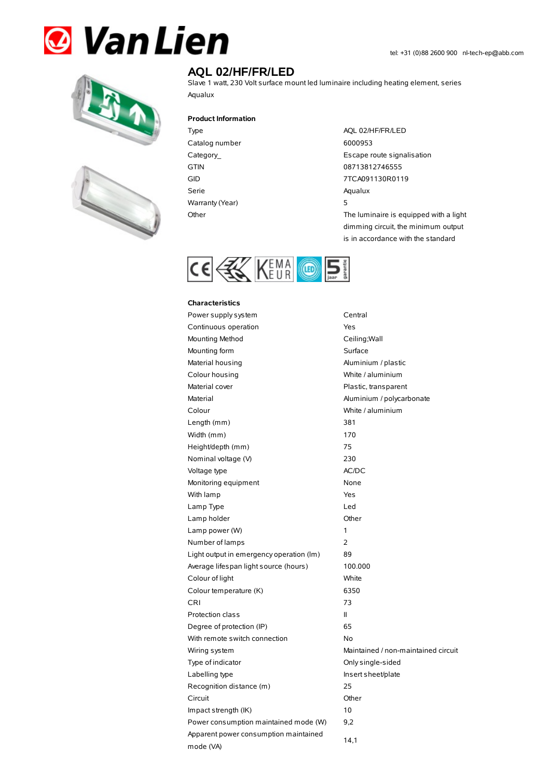# **& Van Lien**





## **AQL 02/HF/FR/LED**

Slave 1 watt, 230 Volt surface mount led luminaire including heating element, series Aqualux

#### **Product Information**

Catalog number 6000953 Serie Aqualux Warranty(Year) 5

Type AQL 02/HF/FR/LED Category\_ **Escape route signalisation** GTIN 08713812746555 GID 7TCA091130R0119 Other The luminaire is equipped with a light dimming circuit, the minimum output is in accordance with the standard



#### **Characteristics**

| Power supply system                                | Central                             |
|----------------------------------------------------|-------------------------------------|
| Continuous operation                               | Yes                                 |
| Mounting Method                                    | Ceiling; Wall                       |
| Mounting form                                      | Surface                             |
| Material housing                                   | Aluminium / plastic                 |
| Colour housing                                     | White / aluminium                   |
| Material cover                                     | Plastic, transparent                |
| Material                                           | Aluminium / polycarbonate           |
| Colour                                             | White / aluminium                   |
| Length (mm)                                        | 381                                 |
| Width (mm)                                         | 170                                 |
| Height/depth (mm)                                  | 75                                  |
| Nominal voltage (V)                                | 230                                 |
| Voltage type                                       | AC/DC                               |
| Monitoring equipment                               | None                                |
| With lamp                                          | Yes                                 |
| Lamp Type                                          | Led                                 |
| Lamp holder                                        | Other                               |
| Lamp power (W)                                     | 1                                   |
| Number of lamps                                    | 2                                   |
| Light output in emergency operation (Im)           | 89                                  |
| Average lifespan light source (hours)              | 100.000                             |
| Colour of light                                    | White                               |
| Colour temperature (K)                             | 6350                                |
| <b>CRI</b>                                         | 73                                  |
| Protection class                                   | $\mathbf{H}$                        |
| Degree of protection (IP)                          | 65                                  |
| With remote switch connection                      | No                                  |
| Wiring system                                      | Maintained / non-maintained circuit |
| Type of indicator                                  | Only single-sided                   |
| Labelling type                                     | Insert sheet/plate                  |
| Recognition distance (m)                           | 25                                  |
| Circuit                                            | Other                               |
| Impact strength (IK)                               | 10                                  |
| Power consumption maintained mode (W)              | 9,2                                 |
| Apparent power consumption maintained<br>mode (VA) | 14,1                                |